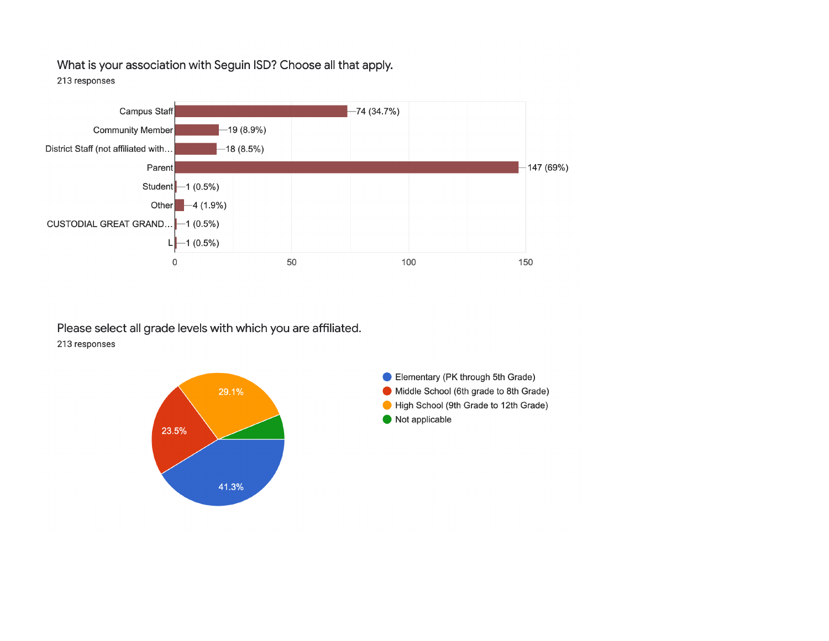What is your association with Seguin ISD? Choose all that apply. 213 responses



Please select all grade levels with which you are affiliated. 213 responses



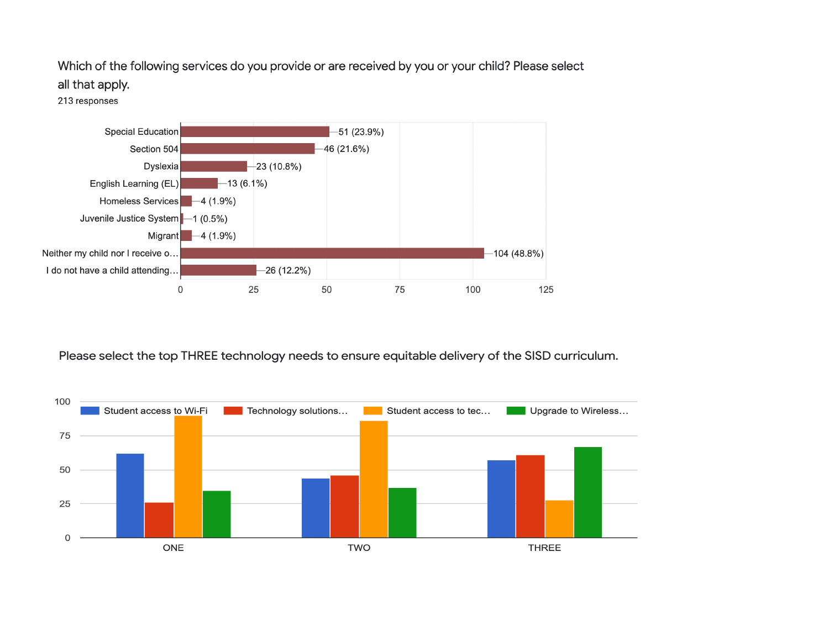Which of the following services do you provide or are received by you or your child? Please select

## all that apply.

213 responses



Please select the top THREE technology needs to ensure equitable delivery of the SISD curriculum.

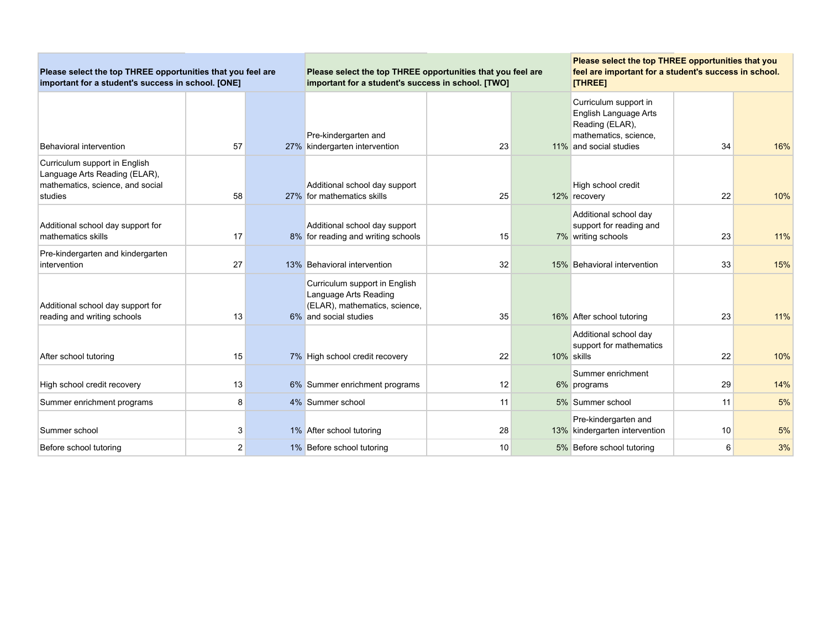| Please select the top THREE opportunities that you feel are<br>important for a student's success in school. [ONE] |    |  | Please select the top THREE opportunities that you feel are<br>important for a student's success in school. [TWO] |    |  | Please select the top THREE opportunities that you<br>feel are important for a student's success in school.<br>[THREE] |    |     |
|-------------------------------------------------------------------------------------------------------------------|----|--|-------------------------------------------------------------------------------------------------------------------|----|--|------------------------------------------------------------------------------------------------------------------------|----|-----|
| Behavioral intervention                                                                                           | 57 |  | Pre-kindergarten and<br>27% kindergarten intervention                                                             | 23 |  | Curriculum support in<br>English Language Arts<br>Reading (ELAR),<br>mathematics, science,<br>11% and social studies   | 34 | 16% |
| Curriculum support in English<br>Language Arts Reading (ELAR),<br>mathematics, science, and social<br>studies     | 58 |  | Additional school day support<br>27% for mathematics skills                                                       | 25 |  | High school credit<br>12% recovery                                                                                     | 22 | 10% |
| Additional school day support for<br>mathematics skills                                                           | 17 |  | Additional school day support<br>8% for reading and writing schools                                               | 15 |  | Additional school day<br>support for reading and<br>7% writing schools                                                 | 23 | 11% |
| Pre-kindergarten and kindergarten<br>intervention                                                                 | 27 |  | 13% Behavioral intervention                                                                                       | 32 |  | 15% Behavioral intervention                                                                                            | 33 | 15% |
| Additional school day support for<br>reading and writing schools                                                  | 13 |  | Curriculum support in English<br>Language Arts Reading<br>(ELAR), mathematics, science,<br>6% and social studies  | 35 |  | 16% After school tutoring                                                                                              | 23 | 11% |
| After school tutoring                                                                                             | 15 |  | 7% High school credit recovery                                                                                    | 22 |  | Additional school day<br>support for mathematics<br>10% skills                                                         | 22 | 10% |
| High school credit recovery                                                                                       | 13 |  | 6% Summer enrichment programs                                                                                     | 12 |  | Summer enrichment<br>6% programs                                                                                       | 29 | 14% |
| Summer enrichment programs                                                                                        | 8  |  | 4% Summer school                                                                                                  | 11 |  | 5% Summer school                                                                                                       | 11 | 5%  |
| Summer school                                                                                                     | 3  |  | 1% After school tutoring                                                                                          | 28 |  | Pre-kindergarten and<br>13% kindergarten intervention                                                                  | 10 | 5%  |
| Before school tutoring                                                                                            | 2  |  | 1% Before school tutoring                                                                                         | 10 |  | 5% Before school tutoring                                                                                              | 6  | 3%  |